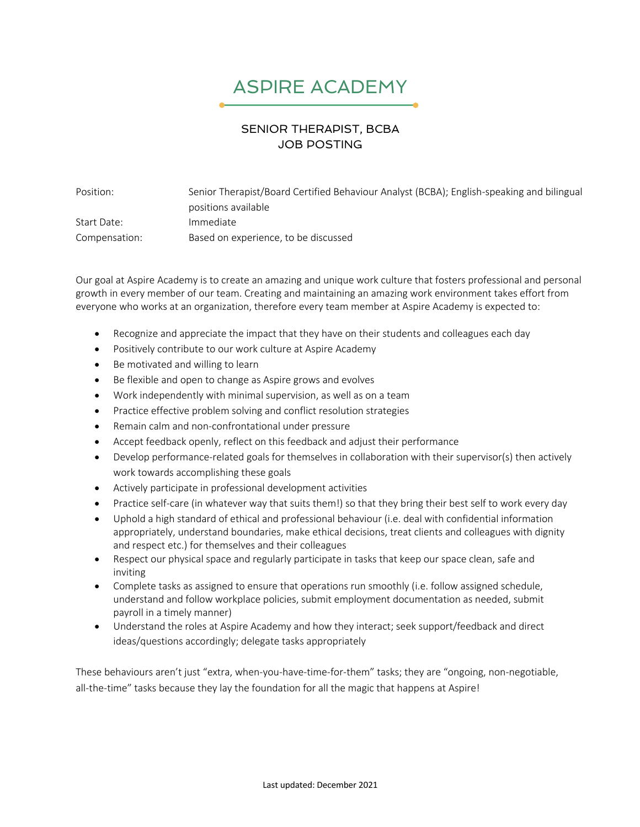## ASPIRE ACADEMY

## SENIOR THERAPIST, BCBA JOB POSTING

Position: Senior Therapist/Board Certified Behaviour Analyst (BCBA); English-speaking and bilingual positions available Start Date: Immediate Compensation: Based on experience, to be discussed

Our goal at Aspire Academy is to create an amazing and unique work culture that fosters professional and personal growth in every member of our team. Creating and maintaining an amazing work environment takes effort from everyone who works at an organization, therefore every team member at Aspire Academy is expected to:

- Recognize and appreciate the impact that they have on their students and colleagues each day
- Positively contribute to our work culture at Aspire Academy
- Be motivated and willing to learn
- Be flexible and open to change as Aspire grows and evolves
- Work independently with minimal supervision, as well as on a team
- Practice effective problem solving and conflict resolution strategies
- Remain calm and non-confrontational under pressure
- Accept feedback openly, reflect on this feedback and adjust their performance
- Develop performance-related goals for themselves in collaboration with their supervisor(s) then actively work towards accomplishing these goals
- Actively participate in professional development activities
- Practice self-care (in whatever way that suits them!) so that they bring their best self to work every day
- Uphold a high standard of ethical and professional behaviour (i.e. deal with confidential information appropriately, understand boundaries, make ethical decisions, treat clients and colleagues with dignity and respect etc.) for themselves and their colleagues
- Respect our physical space and regularly participate in tasks that keep our space clean, safe and inviting
- Complete tasks as assigned to ensure that operations run smoothly (i.e. follow assigned schedule, understand and follow workplace policies, submit employment documentation as needed, submit payroll in a timely manner)
- Understand the roles at Aspire Academy and how they interact; seek support/feedback and direct ideas/questions accordingly; delegate tasks appropriately

These behaviours aren't just "extra, when-you-have-time-for-them" tasks; they are "ongoing, non-negotiable, all-the-time" tasks because they lay the foundation for all the magic that happens at Aspire!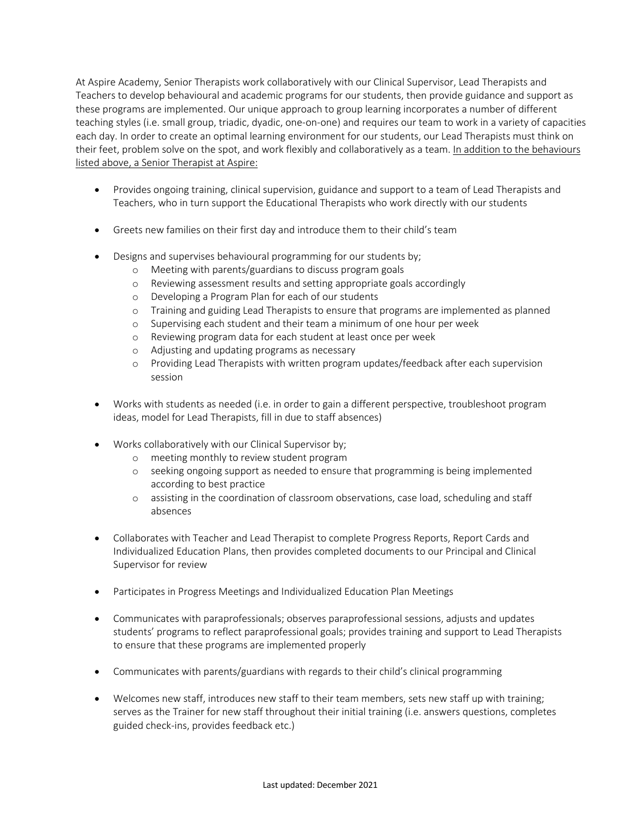At Aspire Academy, Senior Therapists work collaboratively with our Clinical Supervisor, Lead Therapists and Teachers to develop behavioural and academic programs for our students, then provide guidance and support as these programs are implemented. Our unique approach to group learning incorporates a number of different teaching styles (i.e. small group, triadic, dyadic, one-on-one) and requires our team to work in a variety of capacities each day. In order to create an optimal learning environment for our students, our Lead Therapists must think on their feet, problem solve on the spot, and work flexibly and collaboratively as a team. In addition to the behaviours listed above, a Senior Therapist at Aspire:

- Provides ongoing training, clinical supervision, guidance and support to a team of Lead Therapists and Teachers, who in turn support the Educational Therapists who work directly with our students
- Greets new families on their first day and introduce them to their child's team
- Designs and supervises behavioural programming for our students by;
	- o Meeting with parents/guardians to discuss program goals
	- o Reviewing assessment results and setting appropriate goals accordingly
	- o Developing a Program Plan for each of our students
	- o Training and guiding Lead Therapists to ensure that programs are implemented as planned
	- o Supervising each student and their team a minimum of one hour per week
	- o Reviewing program data for each student at least once per week
	- o Adjusting and updating programs as necessary
	- o Providing Lead Therapists with written program updates/feedback after each supervision session
- Works with students as needed (i.e. in order to gain a different perspective, troubleshoot program ideas, model for Lead Therapists, fill in due to staff absences)
- Works collaboratively with our Clinical Supervisor by;
	- o meeting monthly to review student program
	- o seeking ongoing support as needed to ensure that programming is being implemented according to best practice
	- o assisting in the coordination of classroom observations, case load, scheduling and staff absences
- Collaborates with Teacher and Lead Therapist to complete Progress Reports, Report Cards and Individualized Education Plans, then provides completed documents to our Principal and Clinical Supervisor for review
- Participates in Progress Meetings and Individualized Education Plan Meetings
- Communicates with paraprofessionals; observes paraprofessional sessions, adjusts and updates students' programs to reflect paraprofessional goals; provides training and support to Lead Therapists to ensure that these programs are implemented properly
- Communicates with parents/guardians with regards to their child's clinical programming
- Welcomes new staff, introduces new staff to their team members, sets new staff up with training; serves as the Trainer for new staff throughout their initial training (i.e. answers questions, completes guided check-ins, provides feedback etc.)